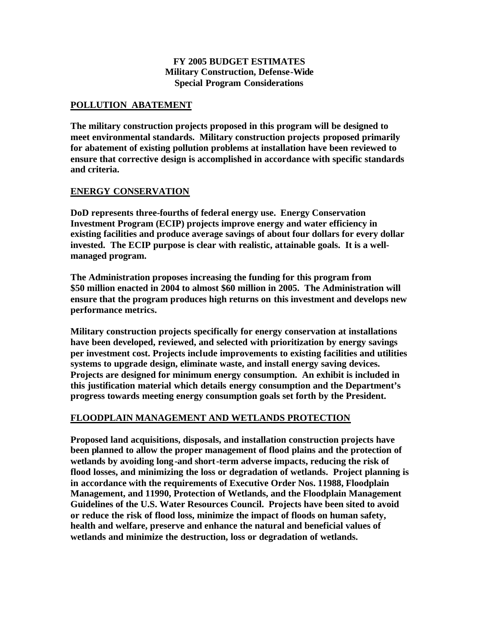#### **FY 2005 BUDGET ESTIMATES Military Construction, Defense-Wide Special Program Considerations**

#### **POLLUTION ABATEMENT**

**The military construction projects proposed in this program will be designed to meet environmental standards. Military construction projects proposed primarily for abatement of existing pollution problems at installation have been reviewed to ensure that corrective design is accomplished in accordance with specific standards and criteria.**

#### **ENERGY CONSERVATION**

**DoD represents three-fourths of federal energy use. Energy Conservation Investment Program (ECIP) projects improve energy and water efficiency in existing facilities and produce average savings of about four dollars for every dollar invested. The ECIP purpose is clear with realistic, attainable goals. It is a wellmanaged program.** 

**The Administration proposes increasing the funding for this program from \$50 million enacted in 2004 to almost \$60 million in 2005. The Administration will ensure that the program produces high returns on this investment and develops new performance metrics.**

**Military construction projects specifically for energy conservation at installations have been developed, reviewed, and selected with prioritization by energy savings per investment cost. Projects include improvements to existing facilities and utilities systems to upgrade design, eliminate waste, and install energy saving devices. Projects are designed for minimum energy consumption. An exhibit is included in this justification material which details energy consumption and the Department's progress towards meeting energy consumption goals set forth by the President.**

## **FLOODPLAIN MANAGEMENT AND WETLANDS PROTECTION**

**Proposed land acquisitions, disposals, and installation construction projects have been planned to allow the proper management of flood plains and the protection of wetlands by avoiding long-and short-term adverse impacts, reducing the risk of flood losses, and minimizing the loss or degradation of wetlands. Project planning is in accordance with the requirements of Executive Order Nos. 11988, Floodplain Management, and 11990, Protection of Wetlands, and the Floodplain Management Guidelines of the U.S. Water Resources Council. Projects have been sited to avoid or reduce the risk of flood loss, minimize the impact of floods on human safety, health and welfare, preserve and enhance the natural and beneficial values of wetlands and minimize the destruction, loss or degradation of wetlands.**